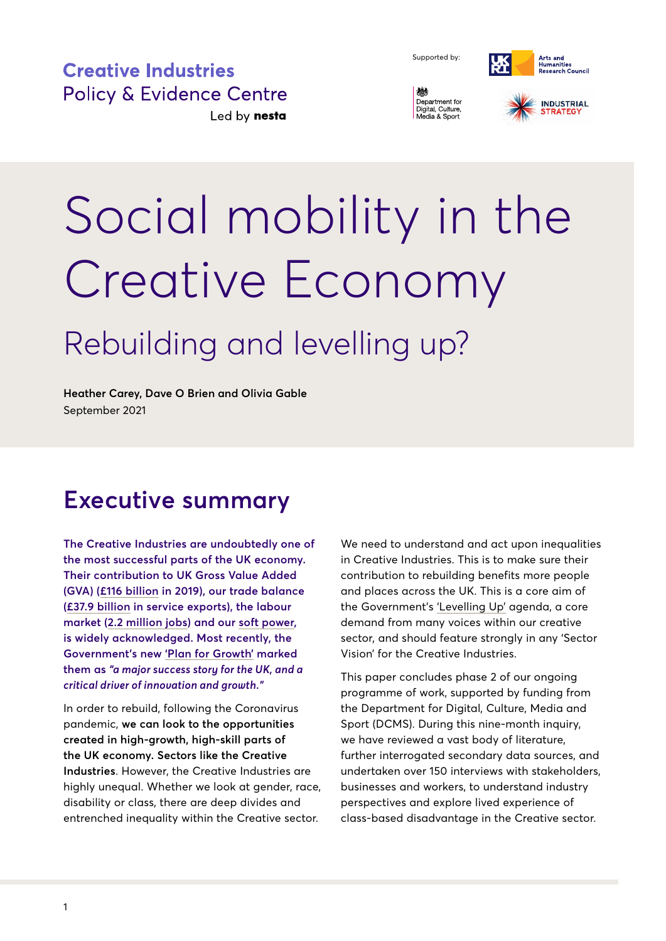Supported by:

## **Creative Industries Policy & Evidence Centre**

Led by nesta

糖 Department for Deparation for<br>Digital, Culture,<br>Media & Sport



Arts and

# Social mobility in the Creative Economy Rebuilding and levelling up?

**Heather Carey, Dave O Brien and Olivia Gable** September 2021

## **Executive summary**

**The Creative Industries are undoubtedly one of the most successful parts of the UK economy. Their contribution to UK Gross Value Added (GVA) ([£116 billion](https://www.gov.uk/government/statistics/dcms-economic-estimates-2019-gross-value-added) in 2019), our trade balance ([£37.9 billion](https://www.gov.uk/government/statistics/dcms-sectors-economic-estimates-2019-trade-in-services/dcms-sectors-economic-estimates-2019-trade-in-services) in service exports), the labour market [\(2.2 million jobs\)](https://www.gov.uk/government/statistics/dcms-sector-economic-estimates-employment-oct-2019-sep-2020) and our [soft power](https://assets.publishing.service.gov.uk/government/uploads/system/uploads/attachment_data/file/975077/Global_Britain_in_a_Competitive_Age-_the_Integrated_Review_of_Security__Defence__Development_and_Foreign_Policy.pdf), is widely acknowledged. Most recently, the Government's new ['Plan for Growth'](https://assets.publishing.service.gov.uk/government/uploads/system/uploads/attachment_data/file/969275/PfG_Final_print_Plan_for_Growth_Print.pdf) marked them as** *"a major success story for the UK, and a critical driver of innovation and growth."* 

In order to rebuild, following the Coronavirus pandemic, **we can look to the opportunities created in high-growth, high-skill parts of the UK economy. Sectors like the Creative Industries**. However, the Creative Industries are highly unequal. Whether we look at gender, race, disability or class, there are deep divides and entrenched inequality within the Creative sector.

We need to understand and act upon inequalities in Creative Industries. This is to make sure their contribution to rebuilding benefits more people and places across the UK. This is a core aim of the Government's ['Levelling Up'](https://www.gov.uk/government/news/government-to-publish-levelling-up-white-paper) agenda, a core demand from many voices within our creative sector, and should feature strongly in any 'Sector Vision' for the Creative Industries.

This paper concludes phase 2 of our ongoing programme of work, supported by funding from the Department for Digital, Culture, Media and Sport (DCMS). During this nine-month inquiry, we have reviewed a vast body of literature, further interrogated secondary data sources, and undertaken over 150 interviews with stakeholders, businesses and workers, to understand industry perspectives and explore lived experience of class-based disadvantage in the Creative sector.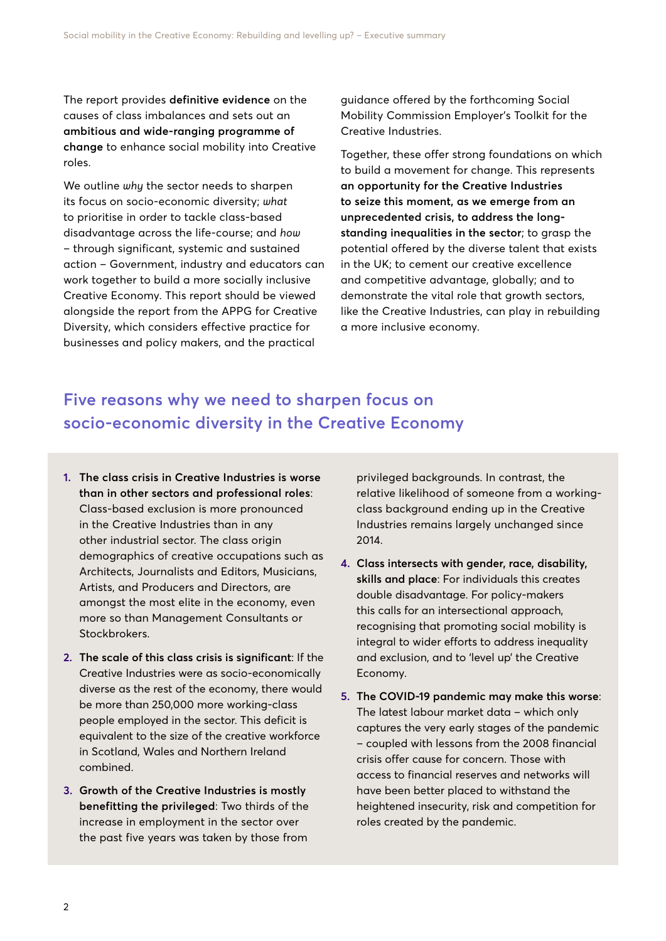The report provides **definitive evidence** on the causes of class imbalances and sets out an **ambitious and wide-ranging programme of change** to enhance social mobility into Creative roles.

We outline *why* the sector needs to sharpen its focus on socio-economic diversity; *what* to prioritise in order to tackle class-based disadvantage across the life-course; and *how* – through significant, systemic and sustained action – Government, industry and educators can work together to build a more socially inclusive Creative Economy. This report should be viewed alongside the report from the APPG for Creative Diversity, which considers effective practice for businesses and policy makers, and the practical

guidance offered by the forthcoming Social Mobility Commission Employer's Toolkit for the Creative Industries.

Together, these offer strong foundations on which to build a movement for change. This represents **an opportunity for the Creative Industries to seize this moment, as we emerge from an unprecedented crisis, to address the longstanding inequalities in the sector**; to grasp the potential offered by the diverse talent that exists in the UK; to cement our creative excellence and competitive advantage, globally; and to demonstrate the vital role that growth sectors, like the Creative Industries, can play in rebuilding a more inclusive economy.

#### **Five reasons why we need to sharpen focus on socio-economic diversity in the Creative Economy**

- **1. The class crisis in Creative Industries is worse than in other sectors and professional roles**: Class-based exclusion is more pronounced in the Creative Industries than in any other industrial sector. The class origin demographics of creative occupations such as Architects, Journalists and Editors, Musicians, Artists, and Producers and Directors, are amongst the most elite in the economy, even more so than Management Consultants or Stockbrokers.
- **2. The scale of this class crisis is significant**: If the Creative Industries were as socio-economically diverse as the rest of the economy, there would be more than 250,000 more working-class people employed in the sector. This deficit is equivalent to the size of the creative workforce in Scotland, Wales and Northern Ireland combined.
- **3. Growth of the Creative Industries is mostly benefitting the privileged**: Two thirds of the increase in employment in the sector over the past five years was taken by those from

privileged backgrounds. In contrast, the relative likelihood of someone from a workingclass background ending up in the Creative Industries remains largely unchanged since 2014.

- **4. Class intersects with gender, race, disability, skills and place**: For individuals this creates double disadvantage. For policy-makers this calls for an intersectional approach, recognising that promoting social mobility is integral to wider efforts to address inequality and exclusion, and to 'level up' the Creative Economy.
- **5. The COVID-19 pandemic may make this worse**: The latest labour market data – which only captures the very early stages of the pandemic – coupled with lessons from the 2008 financial crisis offer cause for concern. Those with access to financial reserves and networks will have been better placed to withstand the heightened insecurity, risk and competition for roles created by the pandemic.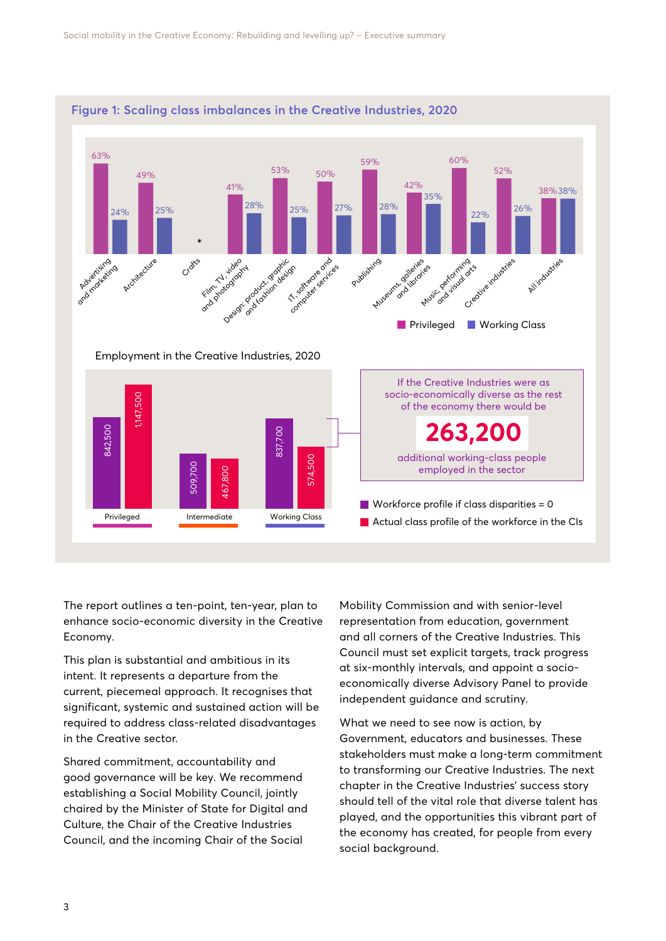

The report outlines a ten-point, ten-year, plan to enhance socio-economic diversity in the Creative Economy.

This plan is substantial and ambitious in its intent. It represents a departure from the current, piecemeal approach. It recognises that significant, systemic and sustained action will be required to address class-related disadvantages in the Creative sector.

Shared commitment, accountability and good governance will be key. We recommend establishing a Social Mobility Council, jointly chaired by the Minister of State for Digital and Culture, the Chair of the Creative Industries Council, and the incoming Chair of the Social

Mobility Commission and with senior-level representation from education, government and all corners of the Creative Industries. This Council must set explicit targets, track progress at six-monthly intervals, and appoint a socioeconomically diverse Advisory Panel to provide independent guidance and scrutiny.

What we need to see now is action, by Government, educators and businesses. These stakeholders must make a long-term commitment to transforming our Creative Industries. The next chapter in the Creative Industries' success story should tell of the vital role that diverse talent has played, and the opportunities this vibrant part of the economy has created, for people from every social background.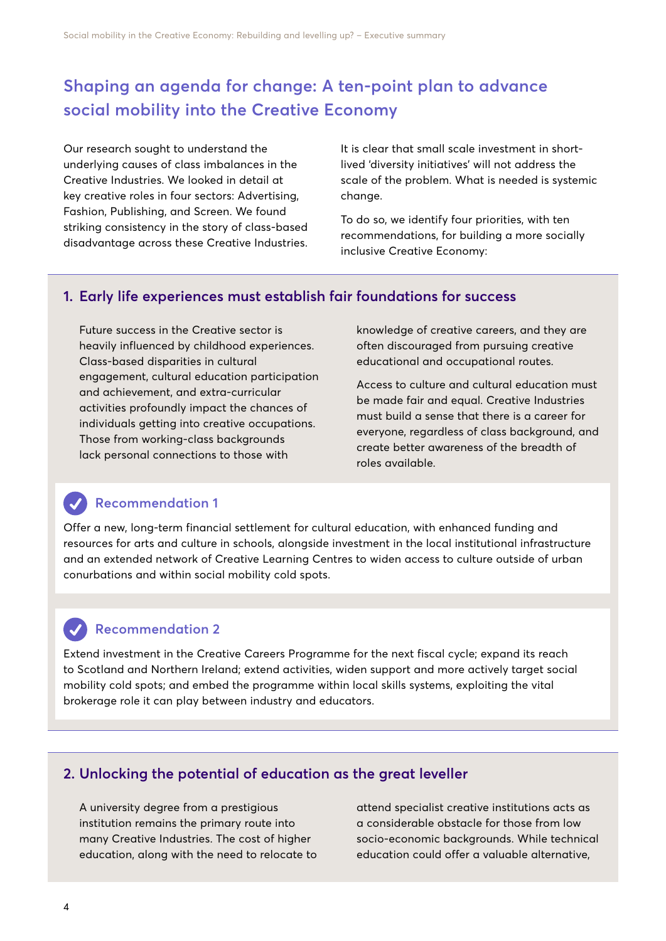#### **Shaping an agenda for change: A ten-point plan to advance social mobility into the Creative Economy**

Our research sought to understand the underlying causes of class imbalances in the Creative Industries. We looked in detail at key creative roles in four sectors: Advertising, Fashion, Publishing, and Screen. We found striking consistency in the story of class-based disadvantage across these Creative Industries. It is clear that small scale investment in shortlived 'diversity initiatives' will not address the scale of the problem. What is needed is systemic change.

To do so, we identify four priorities, with ten recommendations, for building a more socially inclusive Creative Economy:

#### **1. Early life experiences must establish fair foundations for success**

Future success in the Creative sector is heavily influenced by childhood experiences. Class-based disparities in cultural engagement, cultural education participation and achievement, and extra-curricular activities profoundly impact the chances of individuals getting into creative occupations. Those from working-class backgrounds lack personal connections to those with

knowledge of creative careers, and they are often discouraged from pursuing creative educational and occupational routes.

Access to culture and cultural education must be made fair and equal. Creative Industries must build a sense that there is a career for everyone, regardless of class background, and create better awareness of the breadth of roles available.

#### **Recommendation 1**

Offer a new, long-term financial settlement for cultural education, with enhanced funding and resources for arts and culture in schools, alongside investment in the local institutional infrastructure and an extended network of Creative Learning Centres to widen access to culture outside of urban conurbations and within social mobility cold spots.

#### **Recommendation 2**

Extend investment in the Creative Careers Programme for the next fiscal cycle; expand its reach to Scotland and Northern Ireland; extend activities, widen support and more actively target social mobility cold spots; and embed the programme within local skills systems, exploiting the vital brokerage role it can play between industry and educators.

#### **2. Unlocking the potential of education as the great leveller**

A university degree from a prestigious institution remains the primary route into many Creative Industries. The cost of higher education, along with the need to relocate to attend specialist creative institutions acts as a considerable obstacle for those from low socio-economic backgrounds. While technical education could offer a valuable alternative,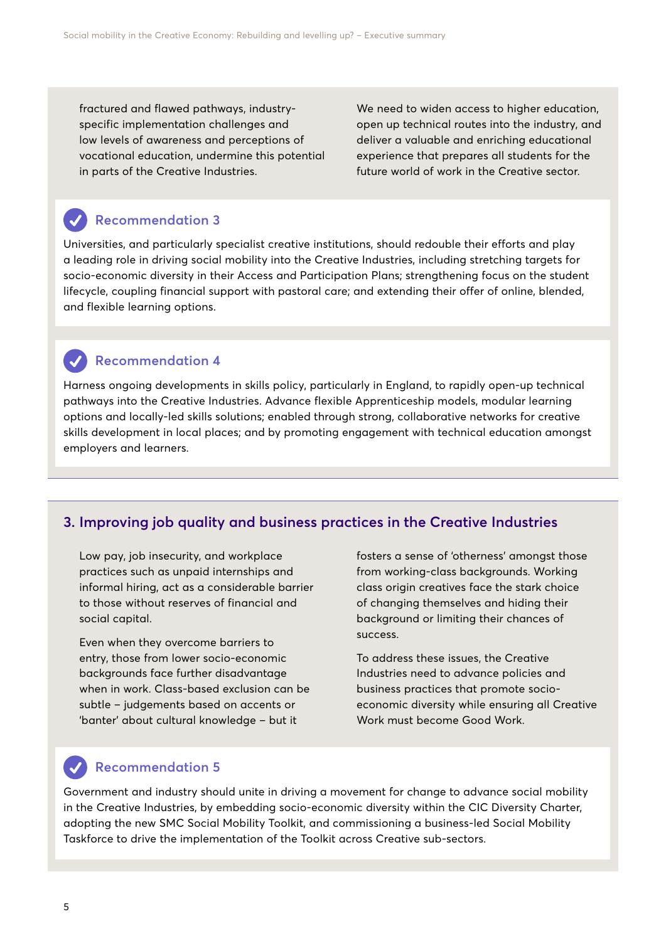fractured and flawed pathways, industryspecific implementation challenges and low levels of awareness and perceptions of vocational education, undermine this potential in parts of the Creative Industries.

We need to widen access to higher education, open up technical routes into the industry, and deliver a valuable and enriching educational experience that prepares all students for the future world of work in the Creative sector.

#### **Recommendation 3**

Universities, and particularly specialist creative institutions, should redouble their efforts and play a leading role in driving social mobility into the Creative Industries, including stretching targets for socio-economic diversity in their Access and Participation Plans; strengthening focus on the student lifecycle, coupling financial support with pastoral care; and extending their offer of online, blended, and flexible learning options.

#### **Recommendation 4**

Harness ongoing developments in skills policy, particularly in England, to rapidly open-up technical pathways into the Creative Industries. Advance flexible Apprenticeship models, modular learning options and locally-led skills solutions; enabled through strong, collaborative networks for creative skills development in local places; and by promoting engagement with technical education amongst employers and learners.

#### **3. Improving job quality and business practices in the Creative Industries**

Low pay, job insecurity, and workplace practices such as unpaid internships and informal hiring, act as a considerable barrier to those without reserves of financial and social capital.

Even when they overcome barriers to entry, those from lower socio-economic backgrounds face further disadvantage when in work. Class-based exclusion can be subtle – judgements based on accents or 'banter' about cultural knowledge – but it

fosters a sense of 'otherness' amongst those from working-class backgrounds. Working class origin creatives face the stark choice of changing themselves and hiding their background or limiting their chances of success.

To address these issues, the Creative Industries need to advance policies and business practices that promote socioeconomic diversity while ensuring all Creative Work must become Good Work.

#### **Recommendation 5**

Government and industry should unite in driving a movement for change to advance social mobility in the Creative Industries, by embedding socio-economic diversity within the CIC Diversity Charter, adopting the new SMC Social Mobility Toolkit, and commissioning a business-led Social Mobility Taskforce to drive the implementation of the Toolkit across Creative sub-sectors.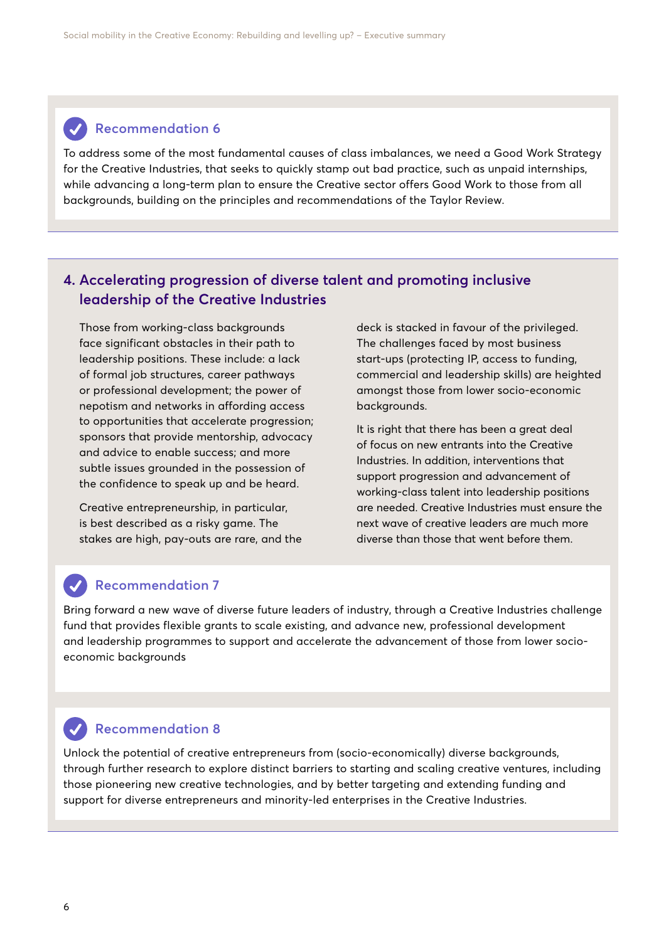#### **Recommendation 6**  $\overline{\mathcal{U}}$

To address some of the most fundamental causes of class imbalances, we need a Good Work Strategy for the Creative Industries, that seeks to quickly stamp out bad practice, such as unpaid internships, while advancing a long-term plan to ensure the Creative sector offers Good Work to those from all backgrounds, building on the principles and recommendations of the Taylor Review.

#### **4. Accelerating progression of diverse talent and promoting inclusive leadership of the Creative Industries**

Those from working-class backgrounds face significant obstacles in their path to leadership positions. These include: a lack of formal job structures, career pathways or professional development; the power of nepotism and networks in affording access to opportunities that accelerate progression; sponsors that provide mentorship, advocacy and advice to enable success; and more subtle issues grounded in the possession of the confidence to speak up and be heard.

Creative entrepreneurship, in particular, is best described as a risky game. The stakes are high, pay-outs are rare, and the deck is stacked in favour of the privileged. The challenges faced by most business start-ups (protecting IP, access to funding, commercial and leadership skills) are heighted amongst those from lower socio-economic backgrounds.

It is right that there has been a great deal of focus on new entrants into the Creative Industries. In addition, interventions that support progression and advancement of working-class talent into leadership positions are needed. Creative Industries must ensure the next wave of creative leaders are much more diverse than those that went before them.

#### **Recommendation 7**

Bring forward a new wave of diverse future leaders of industry, through a Creative Industries challenge fund that provides flexible grants to scale existing, and advance new, professional development and leadership programmes to support and accelerate the advancement of those from lower socioeconomic backgrounds

#### **Recommendation 8**

Unlock the potential of creative entrepreneurs from (socio-economically) diverse backgrounds, through further research to explore distinct barriers to starting and scaling creative ventures, including those pioneering new creative technologies, and by better targeting and extending funding and support for diverse entrepreneurs and minority-led enterprises in the Creative Industries.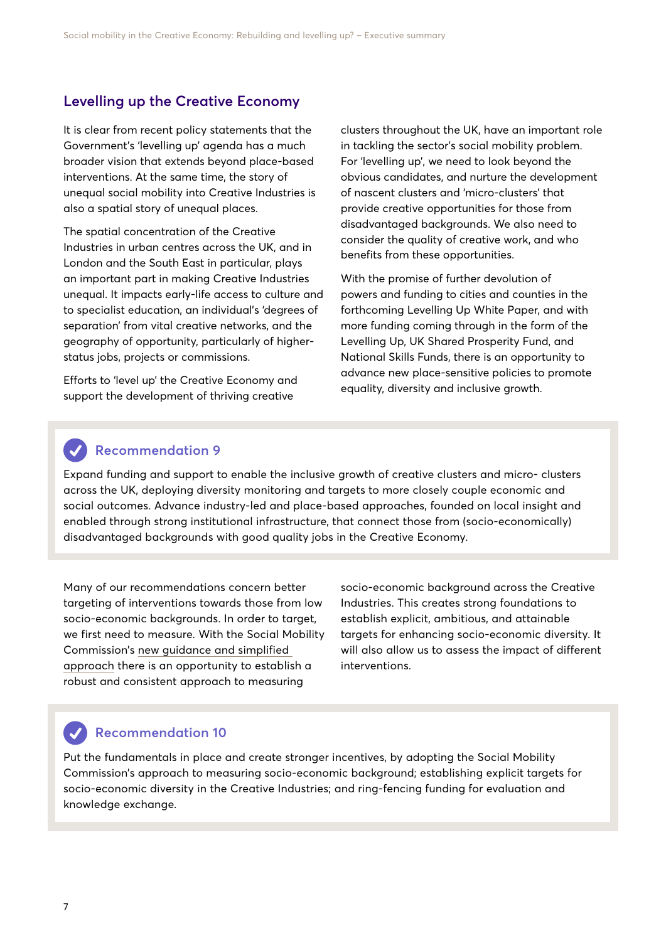#### **Levelling up the Creative Economy**

It is clear from recent policy statements that the Government's 'levelling up' agenda has a much broader vision that extends beyond place-based interventions. At the same time, the story of unequal social mobility into Creative Industries is also a spatial story of unequal places.

The spatial concentration of the Creative Industries in urban centres across the UK, and in London and the South East in particular, plays an important part in making Creative Industries unequal. It impacts early-life access to culture and to specialist education, an individual's 'degrees of separation' from vital creative networks, and the geography of opportunity, particularly of higherstatus jobs, projects or commissions.

Efforts to 'level up' the Creative Economy and support the development of thriving creative

clusters throughout the UK, have an important role in tackling the sector's social mobility problem. For 'levelling up', we need to look beyond the obvious candidates, and nurture the development of nascent clusters and 'micro-clusters' that provide creative opportunities for those from disadvantaged backgrounds. We also need to consider the quality of creative work, and who benefits from these opportunities.

With the promise of further devolution of powers and funding to cities and counties in the forthcoming Levelling Up White Paper, and with more funding coming through in the form of the Levelling Up, UK Shared Prosperity Fund, and National Skills Funds, there is an opportunity to advance new place-sensitive policies to promote equality, diversity and inclusive growth.

#### **Recommendation 9**

Expand funding and support to enable the inclusive growth of creative clusters and micro- clusters across the UK, deploying diversity monitoring and targets to more closely couple economic and social outcomes. Advance industry-led and place-based approaches, founded on local insight and enabled through strong institutional infrastructure, that connect those from (socio-economically) disadvantaged backgrounds with good quality jobs in the Creative Economy.

Many of our recommendations concern better targeting of interventions towards those from low socio-economic backgrounds. In order to target, we first need to measure. With the Social Mobility Commission's [new guidance and simplified](https://socialmobilityworks.org/toolkit/measurement/)  [approach](https://socialmobilityworks.org/toolkit/measurement/) there is an opportunity to establish a robust and consistent approach to measuring

socio-economic background across the Creative Industries. This creates strong foundations to establish explicit, ambitious, and attainable targets for enhancing socio-economic diversity. It will also allow us to assess the impact of different interventions.

#### **Recommendation 10**

Put the fundamentals in place and create stronger incentives, by adopting the Social Mobility Commission's approach to measuring socio-economic background; establishing explicit targets for socio-economic diversity in the Creative Industries; and ring-fencing funding for evaluation and knowledge exchange.